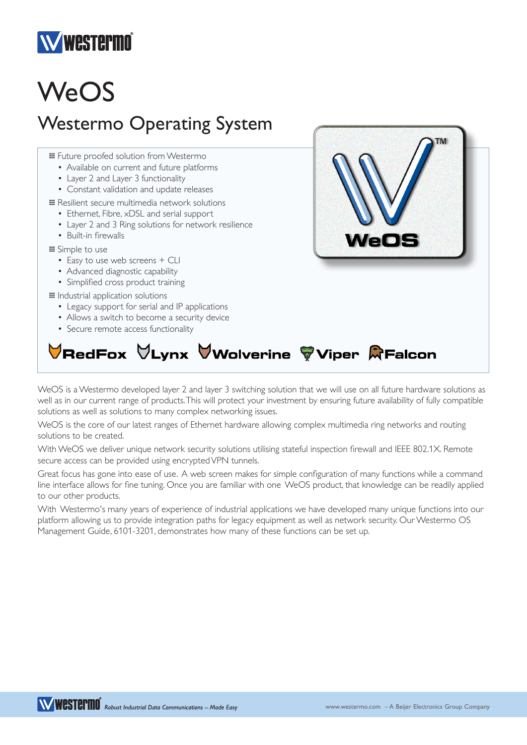

## **WeOS**

## Westermo Operating System

**III** Future proofed solution from Westermo

- Available on current and future platforms
- Layer 2 and Layer 3 functionality
- Constant validation and update releases

… Resilient secure multimedia network solutions

- Ethernet, Fibre, xDSL and serial support
- Layer 2 and 3 Ring solutions for network resilience
- Built-in firewalls

… Simple to use

- Easy to use web screens + CLI
- Advanced diagnostic capability
- Simplified cross product training

… Industrial application solutions

- Legacy support for serial and IP applications
- Allows a switch to become a security device
- Secure remote access functionality

## VRedFox  $\forall$ Lynx VWolverine ÿViper QFalcon

WeOS is a Westermo developed layer 2 and layer 3 switching solution that we will use on all future hardware solutions as well as in our current range of products. This will protect your investment by ensuring future availability of fully compatible solutions as well as solutions to many complex networking issues.

WeOS is the core of our latest ranges of Ethernet hardware allowing complex multimedia ring networks and routing solutions to be created.

With WeOS we deliver unique network security solutions utilising stateful inspection firewall and IEEE 802.1X. Remote secure access can be provided using encrypted VPN tunnels.

Great focus has gone into ease of use. A web screen makes for simple configuration of many functions while a command line interface allows for fine tuning. Once you are familiar with one WeOS product, that knowledge can be readily applied to our other products.

With Westermo's many years of experience of industrial applications we have developed many unique functions into our platform allowing us to provide integration paths for legacy equipment as well as network security. Our Westermo OS Management Guide, 6101-3201, demonstrates how many of these functions can be set up.

WESTEPMO<sup>R</sup> Robust Industrial Data Communications - Made Easy

VeO!